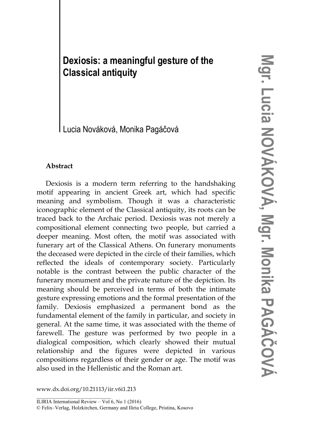# **Dexiosis: a meaningful gesture of the Classical antiquity**

Lucia Nováková, Monika Pagáčová

## **Abstract**

Dexiosis is a modern term referring to the handshaking motif appearing in ancient Greek art, which had specific meaning and symbolism. Though it was a characteristic iconographic element of the Classical antiquity, its roots can be traced back to the Archaic period. Dexiosis was not merely a compositional element connecting two people, but carried a deeper meaning. Most often, the motif was associated with funerary art of the Classical Athens. On funerary monuments the deceased were depicted in the circle of their families, which reflected the ideals of contemporary society. Particularly notable is the contrast between the public character of the funerary monument and the private nature of the depiction. Its meaning should be perceived in terms of both the intimate gesture expressing emotions and the formal presentation of the family. Dexiosis emphasized a permanent bond as the fundamental element of the family in particular, and society in general. At the same time, it was associated with the theme of farewell. The gesture was performed by two people in a dialogical composition, which clearly showed their mutual relationship and the figures were depicted in various compositions regardless of their gender or age. The motif was also used in the Hellenistic and the Roman art.

www.dx.doi.org/10.21113/iir.v6i1.213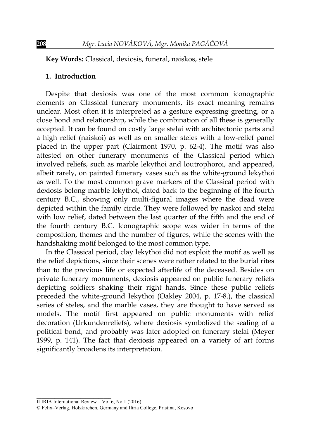**Key Words:** Classical, dexiosis, funeral, naiskos, stele

#### **1. Introduction**

Despite that dexiosis was one of the most common iconographic elements on Classical funerary monuments, its exact meaning remains unclear. Most often it is interpreted as a gesture expressing greeting, or a close bond and relationship, while the combination of all these is generally accepted. It can be found on costly large stelai with architectonic parts and a high relief (naiskoi) as well as on smaller steles with a low-relief panel placed in the upper part (Clairmont 1970, p. 62-4). The motif was also attested on other funerary monuments of the Classical period which involved reliefs, such as marble lekythoi and loutrophoroi, and appeared, albeit rarely, on painted funerary vases such as the white-ground lekythoi as well. To the most common grave markers of the Classical period with dexiosis belong marble lekythoi, dated back to the beginning of the fourth century B.C., showing only multi-figural images where the dead were depicted within the family circle. They were followed by naskoi and stelai with low relief, dated between the last quarter of the fifth and the end of the fourth century B.C. Iconographic scope was wider in terms of the composition, themes and the number of figures, while the scenes with the handshaking motif belonged to the most common type.

In the Classical period, clay lekythoi did not exploit the motif as well as the relief depictions, since their scenes were rather related to the burial rites than to the previous life or expected afterlife of the deceased. Besides on private funerary monuments, dexiosis appeared on public funerary reliefs depicting soldiers shaking their right hands. Since these public reliefs preceded the white-ground lekythoi (Oakley 2004, p. 17-8.), the classical series of steles, and the marble vases, they are thought to have served as models. The motif first appeared on public monuments with relief decoration (Urkundenreliefs), where dexiosis symbolized the sealing of a political bond, and probably was later adopted on funerary stelai (Meyer 1999, p. 141). The fact that dexiosis appeared on a variety of art forms significantly broadens its interpretation.

ILIRIA International Review – Vol 6, No 1 (2016)

<sup>©</sup> Felix–Verlag, Holzkirchen, Germany and Iliria College, Pristina, Kosovo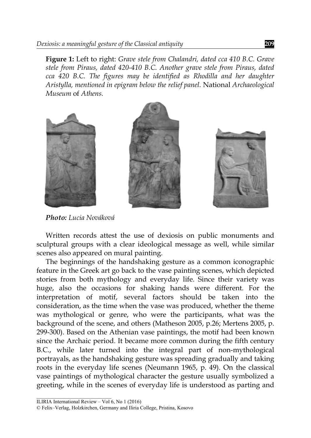**Figure 1:** Left to right: *Grave stele from Chalandri, dated cca 410 B.C. Grave stele from Piraus, dated 420-410 B.C. Another grave stele from Piraus, dated cca 420 B.C. The figures may be identified as Rhodilla and her daughter Aristylla, mentioned in epigram below the relief panel.* National *Archaeological Museum* of *Athens.* 



*Photo: Lucia Nováková*

Written records attest the use of dexiosis on public monuments and sculptural groups with a clear ideological message as well, while similar scenes also appeared on mural painting.

The beginnings of the handshaking gesture as a common iconographic feature in the Greek art go back to the vase painting scenes, which depicted stories from both mythology and everyday life. Since their variety was huge, also the occasions for shaking hands were different. For the interpretation of motif, several factors should be taken into the consideration, as the time when the vase was produced, whether the theme was mythological or genre, who were the participants, what was the background of the scene, and others (Matheson 2005, p.26; Mertens 2005, p. 299-300). Based on the Athenian vase paintings, the motif had been known since the Archaic period. It became more common during the fifth century B.C., while later turned into the integral part of non-mythological portrayals, as the handshaking gesture was spreading gradually and taking roots in the everyday life scenes (Neumann 1965, p. 49). On the classical vase paintings of mythological character the gesture usually symbolized a greeting, while in the scenes of everyday life is understood as parting and

ILIRIA International Review – Vol  $6$ , No 1 (2016)

<sup>©</sup> Felix–Verlag, Holzkirchen, Germany and Iliria College, Pristina, Kosovo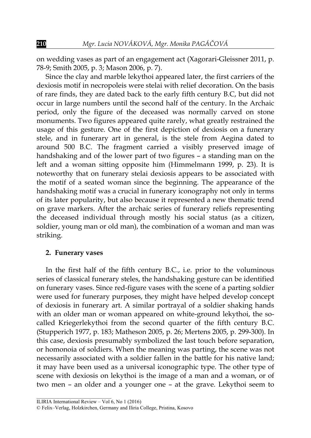on wedding vases as part of an engagement act (Xagorari-Gleissner 2011, p. 78-9; Smith 2005, p. 3; Mason 2006, p. 7).

Since the clay and marble lekythoi appeared later, the first carriers of the dexiosis motif in necropoleis were stelai with relief decoration. On the basis of rare finds, they are dated back to the early fifth century B.C, but did not occur in large numbers until the second half of the century. In the Archaic period, only the figure of the deceased was normally carved on stone monuments. Two figures appeared quite rarely, what greatly restrained the usage of this gesture. One of the first depiction of dexiosis on a funerary stele, and in funerary art in general, is the stele from Aegina dated to around 500 B.C. The fragment carried a visibly preserved image of handshaking and of the lower part of two figures – a standing man on the left and a woman sitting opposite him (Himmelmann 1999, p. 23). It is noteworthy that on funerary stelai dexiosis appears to be associated with the motif of a seated woman since the beginning. The appearance of the handshaking motif was a crucial in funerary iconography not only in terms of its later popularity, but also because it represented a new thematic trend on grave markers. After the archaic series of funerary reliefs representing the deceased individual through mostly his social status (as a citizen, soldier, young man or old man), the combination of a woman and man was striking.

#### **2. Funerary vases**

In the first half of the fifth century B.C., i.e. prior to the voluminous series of classical funerary steles, the handshaking gesture can be identified on funerary vases. Since red-figure vases with the scene of a parting soldier were used for funerary purposes, they might have helped develop concept of dexiosis in funerary art. A similar portrayal of a soldier shaking hands with an older man or woman appeared on white-ground lekythoi, the socalled Kriegerlekythoi from the second quarter of the fifth century B.C. (Stupperich 1977, p. 183; Matheson 2005, p. 26; Mertens 2005, p. 299-300). In this case, dexiosis presumably symbolized the last touch before separation, or homonoia of soldiers. When the meaning was parting, the scene was not necessarily associated with a soldier fallen in the battle for his native land; it may have been used as a universal iconographic type. The other type of scene with dexiosis on lekythoi is the image of a man and a woman, or of two men – an older and a younger one – at the grave. Lekythoi seem to

ILIRIA International Review – Vol 6, No 1 (2016)

<sup>©</sup> Felix–Verlag, Holzkirchen, Germany and Iliria College, Pristina, Kosovo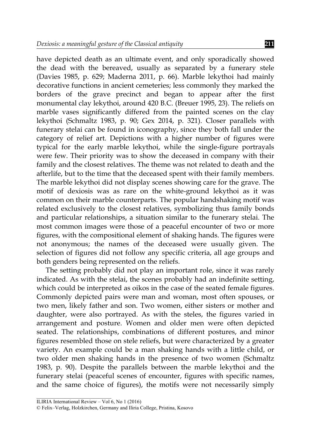have depicted death as an ultimate event, and only sporadically showed the dead with the bereaved, usually as separated by a funerary stele (Davies 1985, p. 629; Maderna 2011, p. 66). Marble lekythoi had mainly decorative functions in ancient cemeteries; less commonly they marked the borders of the grave precinct and began to appear after the first monumental clay lekythoi, around 420 B.C. (Breuer 1995, 23). The reliefs on marble vases significantly differed from the painted scenes on the clay lekythoi (Schmaltz 1983, p. 90; Gex 2014, p. 321). Closer parallels with funerary stelai can be found in iconography, since they both fall under the category of relief art. Depictions with a higher number of figures were typical for the early marble lekythoi, while the single-figure portrayals were few. Their priority was to show the deceased in company with their family and the closest relatives. The theme was not related to death and the afterlife, but to the time that the deceased spent with their family members. The marble lekythoi did not display scenes showing care for the grave. The motif of dexiosis was as rare on the white-ground lekythoi as it was common on their marble counterparts. The popular handshaking motif was related exclusively to the closest relatives, symbolizing thus family bonds and particular relationships, a situation similar to the funerary stelai. The most common images were those of a peaceful encounter of two or more figures, with the compositional element of shaking hands. The figures were not anonymous; the names of the deceased were usually given. The selection of figures did not follow any specific criteria, all age groups and both genders being represented on the reliefs.

The setting probably did not play an important role, since it was rarely indicated. As with the stelai, the scenes probably had an indefinite setting, which could be interpreted as oikos in the case of the seated female figures. Commonly depicted pairs were man and woman, most often spouses, or two men, likely father and son. Two women, either sisters or mother and daughter, were also portrayed. As with the steles, the figures varied in arrangement and posture. Women and older men were often depicted seated. The relationships, combinations of different postures, and minor figures resembled those on stele reliefs, but were characterized by a greater variety. An example could be a man shaking hands with a little child, or two older men shaking hands in the presence of two women (Schmaltz 1983, p. 90). Despite the parallels between the marble lekythoi and the funerary stelai (peaceful scenes of encounter, figures with specific names, and the same choice of figures), the motifs were not necessarily simply

ILIRIA International Review – Vol 6, No 1 (2016)

<sup>©</sup> Felix–Verlag, Holzkirchen, Germany and Iliria College, Pristina, Kosovo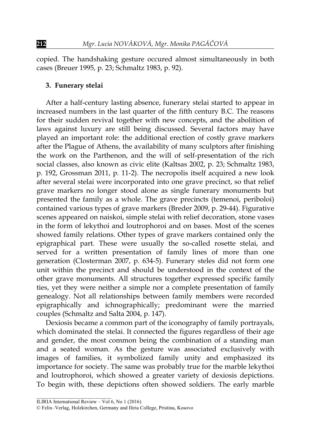copied. The handshaking gesture occured almost simultaneously in both cases (Breuer 1995, p. 23; Schmaltz 1983, p. 92).

#### **3. Funerary stelai**

After a half-century lasting absence, funerary stelai started to appear in increased numbers in the last quarter of the fifth century B.C. The reasons for their sudden revival together with new concepts, and the abolition of laws against luxury are still being discussed. Several factors may have played an important role: the additional erection of costly grave markers after the Plague of Athens, the availability of many sculptors after finishing the work on the Parthenon, and the will of self-presentation of the rich social classes, also known as civic elite (Kaltsas 2002, p. 23; Schmaltz 1983, p. 192, Grossman 2011, p. 11-2). The necropolis itself acquired a new look after several stelai were incorporated into one grave precinct, so that relief grave markers no longer stood alone as single funerary monuments but presented the family as a whole. The grave precincts (temenoi, periboloi) contained various types of grave markers (Breder 2009, p. 29-44). Figurative scenes appeared on naiskoi, simple stelai with relief decoration, stone vases in the form of lekythoi and loutrophoroi and on bases. Most of the scenes showed family relations. Other types of grave markers contained only the epigraphical part. These were usually the so-called rosette stelai, and served for a written presentation of family lines of more than one generation (Closterman 2007, p. 634-5). Funerary steles did not form one unit within the precinct and should be understood in the context of the other grave monuments. All structures together expressed specific family ties, yet they were neither a simple nor a complete presentation of family genealogy. Not all relationships between family members were recorded epigraphically and ichnographically; predominant were the married couples (Schmaltz and Salta 2004, p. 147).

Dexiosis became a common part of the iconography of family portrayals, which dominated the stelai. It connected the figures regardless of their age and gender, the most common being the combination of a standing man and a seated woman. As the gesture was associated exclusively with images of families, it symbolized family unity and emphasized its importance for society. The same was probably true for the marble lekythoi and loutrophoroi, which showed a greater variety of dexiosis depictions. To begin with, these depictions often showed soldiers. The early marble

ILIRIA International Review – Vol 6, No 1 (2016)

<sup>©</sup> Felix–Verlag, Holzkirchen, Germany and Iliria College, Pristina, Kosovo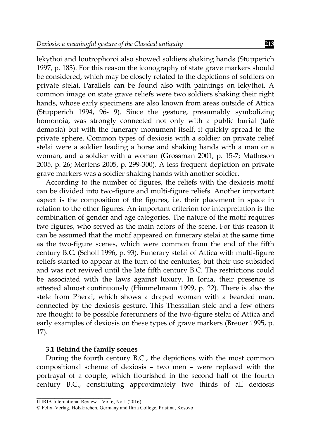lekythoi and loutrophoroi also showed soldiers shaking hands (Stupperich 1997, p. 183). For this reason the iconography of state grave markers should be considered, which may be closely related to the depictions of soldiers on private stelai. Parallels can be found also with paintings on lekythoi. A common image on state grave reliefs were two soldiers shaking their right hands, whose early specimens are also known from areas outside of Attica (Stupperich 1994, 96- 9). Since the gesture, presumably symbolizing homonoia, was strongly connected not only with a public burial (tafé demosia) but with the funerary monument itself, it quickly spread to the private sphere. Common types of dexiosis with a soldier on private relief stelai were a soldier leading a horse and shaking hands with a man or a woman, and a soldier with a woman (Grossman 2001, p. 15-7; Matheson 2005, p. 26; Mertens 2005, p. 299-300). A less frequent depiction on private grave markers was a soldier shaking hands with another soldier.

According to the number of figures, the reliefs with the dexiosis motif can be divided into two-figure and multi-figure reliefs. Another important aspect is the composition of the figures, i.e. their placement in space in relation to the other figures. An important criterion for interpretation is the combination of gender and age categories. The nature of the motif requires two figures, who served as the main actors of the scene. For this reason it can be assumed that the motif appeared on funerary stelai at the same time as the two-figure scenes, which were common from the end of the fifth century B.C. (Scholl 1996, p. 93). Funerary stelai of Attica with multi-figure reliefs started to appear at the turn of the centuries, but their use subsided and was not revived until the late fifth century B.C. The restrictions could be associated with the laws against luxury. In Ionia, their presence is attested almost continuously (Himmelmann 1999, p. 22). There is also the stele from Pherai, which shows a draped woman with a bearded man, connected by the dexiosis gesture. This Thessalian stele and a few others are thought to be possible forerunners of the two-figure stelai of Attica and early examples of dexiosis on these types of grave markers (Breuer 1995, p. 17).

#### **3.1 Behind the family scenes**

During the fourth century B.C., the depictions with the most common compositional scheme of dexiosis – two men – were replaced with the portrayal of a couple, which flourished in the second half of the fourth century B.C., constituting approximately two thirds of all dexiosis

ILIRIA International Review – Vol  $6$ , No 1 (2016)

<sup>©</sup> Felix–Verlag, Holzkirchen, Germany and Iliria College, Pristina, Kosovo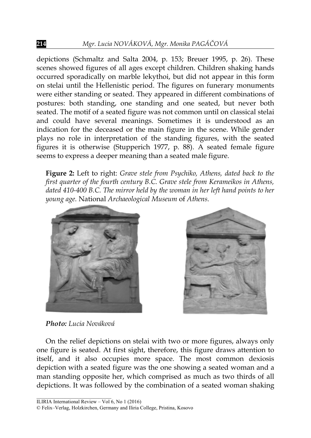depictions (Schmaltz and Salta 2004, p. 153; Breuer 1995, p. 26). These scenes showed figures of all ages except children. Children shaking hands occurred sporadically on marble lekythoi, but did not appear in this form on stelai until the Hellenistic period. The figures on funerary monuments were either standing or seated. They appeared in different combinations of postures: both standing, one standing and one seated, but never both seated. The motif of a seated figure was not common until on classical stelai and could have several meanings. Sometimes it is understood as an indication for the deceased or the main figure in the scene. While gender plays no role in interpretation of the standing figures, with the seated figures it is otherwise (Stupperich 1977, p. 88). A seated female figure seems to express a deeper meaning than a seated male figure.

**Figure 2:** Left to right: *Grave stele from Psychiko, Athens, dated back to the first quarter of the fourth century B.C. Grave stele from Kerameikos in Athens, dated 410-400 B.C. The mirror held by the woman in her left hand points to her young age.* National *Archaeological Museum* of *Athens.* 



*Photo: Lucia Nováková*

On the relief depictions on stelai with two or more figures, always only one figure is seated. At first sight, therefore, this figure draws attention to itself, and it also occupies more space. The most common dexiosis depiction with a seated figure was the one showing a seated woman and a man standing opposite her, which comprised as much as two thirds of all depictions. It was followed by the combination of a seated woman shaking

\_\_\_\_\_\_\_\_\_\_\_\_\_\_\_\_\_\_\_\_\_\_\_\_\_\_\_\_\_ ILIRIA International Review – Vol  $6$ , No 1 (2016)

<sup>©</sup> Felix–Verlag, Holzkirchen, Germany and Iliria College, Pristina, Kosovo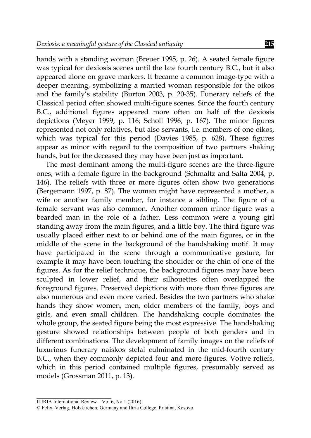hands with a standing woman (Breuer 1995, p. 26). A seated female figure was typical for dexiosis scenes until the late fourth century B.C., but it also appeared alone on grave markers. It became a common image-type with a deeper meaning, symbolizing a married woman responsible for the oikos and the family's stability (Burton 2003, p. 20-35). Funerary reliefs of the Classical period often showed multi-figure scenes. Since the fourth century B.C., additional figures appeared more often on half of the dexiosis depictions (Meyer 1999, p. 116; Scholl 1996, p. 167). The minor figures represented not only relatives, but also servants, i.e. members of one oikos, which was typical for this period (Davies 1985, p. 628). These figures appear as minor with regard to the composition of two partners shaking hands, but for the deceased they may have been just as important.

The most dominant among the multi-figure scenes are the three-figure ones, with a female figure in the background (Schmaltz and Salta 2004, p. 146). The reliefs with three or more figures often show two generations (Bergemann 1997, p. 87). The woman might have represented a mother, a wife or another family member, for instance a sibling. The figure of a female servant was also common. Another common minor figure was a bearded man in the role of a father. Less common were a young girl standing away from the main figures, and a little boy. The third figure was usually placed either next to or behind one of the main figures, or in the middle of the scene in the background of the handshaking motif. It may have participated in the scene through a communicative gesture, for example it may have been touching the shoulder or the chin of one of the figures. As for the relief technique, the background figures may have been sculpted in lower relief, and their silhouettes often overlapped the foreground figures. Preserved depictions with more than three figures are also numerous and even more varied. Besides the two partners who shake hands they show women, men, older members of the family, boys and girls, and even small children. The handshaking couple dominates the whole group, the seated figure being the most expressive. The handshaking gesture showed relationships between people of both genders and in different combinations. The development of family images on the reliefs of luxurious funerary naiskos stelai culminated in the mid-fourth century B.C., when they commonly depicted four and more figures. Votive reliefs, which in this period contained multiple figures, presumably served as models (Grossman 2011, p. 13).

\_\_\_\_\_\_\_\_\_\_\_\_\_\_\_\_\_\_\_\_\_\_\_\_\_\_\_\_\_ ILIRIA International Review – Vol 6, No 1 (2016)

<sup>©</sup> Felix–Verlag, Holzkirchen, Germany and Iliria College, Pristina, Kosovo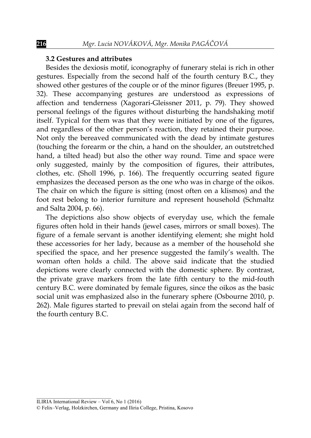#### **3.2 Gestures and attributes**

Besides the dexiosis motif, iconography of funerary stelai is rich in other gestures. Especially from the second half of the fourth century B.C., they showed other gestures of the couple or of the minor figures (Breuer 1995, p. 32). These accompanying gestures are understood as expressions of affection and tenderness (Xagorari-Gleissner 2011, p. 79). They showed personal feelings of the figures without disturbing the handshaking motif itself. Typical for them was that they were initiated by one of the figures, and regardless of the other person's reaction, they retained their purpose. Not only the bereaved communicated with the dead by intimate gestures (touching the forearm or the chin, a hand on the shoulder, an outstretched hand, a tilted head) but also the other way round. Time and space were only suggested, mainly by the composition of figures, their attributes, clothes, etc. (Sholl 1996, p. 166). The frequently occurring seated figure emphasizes the deceased person as the one who was in charge of the oikos. The chair on which the figure is sitting (most often on a klismos) and the foot rest belong to interior furniture and represent household (Schmaltz and Salta 2004, p. 66).

The depictions also show objects of everyday use, which the female figures often hold in their hands (jewel cases, mirrors or small boxes). The figure of a female servant is another identifying element; she might hold these accessories for her lady, because as a member of the household she specified the space, and her presence suggested the family's wealth. The woman often holds a child. The above said indicate that the studied depictions were clearly connected with the domestic sphere. By contrast, the private grave markers from the late fifth century to the mid-fouth century B.C. were dominated by female figures, since the oikos as the basic social unit was emphasized also in the funerary sphere (Osbourne 2010, p. 262). Male figures started to prevail on stelai again from the second half of the fourth century B.C.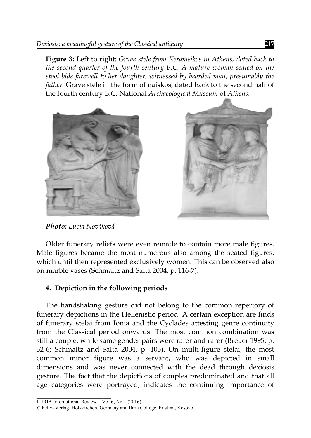**Figure 3:** Left to right: *Grave stele from Kerameikos in Athens, dated back to the second quarter of the fourth century B.C. A mature woman seated on the stool bids farewell to her daughter, witnessed by bearded man, presumably the father.* Grave stele in the form of naiskos, dated back to the second half of the fourth century B.C. National *Archaeological Museum* of *Athens.* 





*Photo: Lucia Nováková*

Older funerary reliefs were even remade to contain more male figures. Male figures became the most numerous also among the seated figures, which until then represented exclusively women. This can be observed also on marble vases (Schmaltz and Salta 2004, p. 116-7).

## **4. Depiction in the following periods**

The handshaking gesture did not belong to the common repertory of funerary depictions in the Hellenistic period. A certain exception are finds of funerary stelai from Ionia and the Cyclades attesting genre continuity from the Classical period onwards. The most common combination was still a couple, while same gender pairs were rarer and rarer (Breuer 1995, p. 32-6; Schmaltz and Salta 2004, p. 103). On multi-figure stelai, the most common minor figure was a servant, who was depicted in small dimensions and was never connected with the dead through dexiosis gesture. The fact that the depictions of couples predominated and that all age categories were portrayed, indicates the continuing importance of

\_\_\_\_\_\_\_\_\_\_\_\_\_\_\_\_\_\_\_\_\_\_\_\_\_\_\_\_\_ ILIRIA International Review – Vol  $6$ , No 1 (2016)

<sup>©</sup> Felix–Verlag, Holzkirchen, Germany and Iliria College, Pristina, Kosovo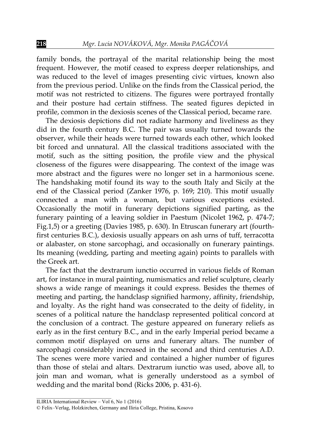family bonds, the portrayal of the marital relationship being the most frequent. However, the motif ceased to express deeper relationships, and was reduced to the level of images presenting civic virtues, known also from the previous period. Unlike on the finds from the Classical period, the motif was not restricted to citizens. The figures were portrayed frontally and their posture had certain stiffness. The seated figures depicted in profile, common in the dexiosis scenes of the Classical period, became rare.

The dexiosis depictions did not radiate harmony and liveliness as they did in the fourth century B.C. The pair was usually turned towards the observer, while their heads were turned towards each other, which looked bit forced and unnatural. All the classical traditions associated with the motif, such as the sitting position, the profile view and the physical closeness of the figures were disappearing. The context of the image was more abstract and the figures were no longer set in a harmonious scene. The handshaking motif found its way to the south Italy and Sicily at the end of the Classical period (Zanker 1976, p. 169; 210). This motif usually connected a man with a woman, but various exceptions existed. Occasionally the motif in funerary depictions signified parting, as the funerary painting of a leaving soldier in Paestum (Nicolet 1962, p. 474-7; Fig.1,5) or a greeting (Davies 1985, p. 630). In Etruscan funerary art (fourthfirst centuries B.C.), dexiosis usually appears on ash urns of tuff, terracotta or alabaster, on stone sarcophagi, and occasionally on funerary paintings. Its meaning (wedding, parting and meeting again) points to parallels with the Greek art.

The fact that the dextrarum iunctio occurred in various fields of Roman art, for instance in mural painting, numismatics and relief sculpture, clearly shows a wide range of meanings it could express. Besides the themes of meeting and parting, the handclasp signified harmony, affinity, friendship, and loyalty. As the right hand was consecrated to the deity of fidelity, in scenes of a political nature the handclasp represented political concord at the conclusion of a contract. The gesture appeared on funerary reliefs as early as in the first century B.C., and in the early Imperial period became a common motif displayed on urns and funerary altars. The number of sarcophagi considerably increased in the second and third centuries A.D. The scenes were more varied and contained a higher number of figures than those of stelai and altars. Dextrarum iunctio was used, above all, to join man and woman, what is generally understood as a symbol of wedding and the marital bond (Ricks 2006, p. 431-6).

ILIRIA International Review – Vol  $6$ , No 1 (2016)

<sup>©</sup> Felix–Verlag, Holzkirchen, Germany and Iliria College, Pristina, Kosovo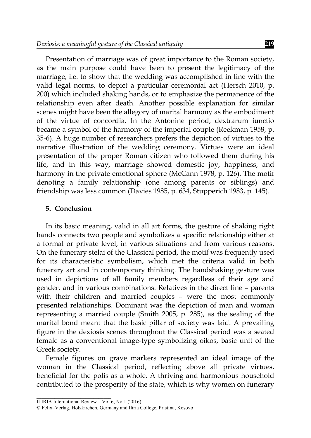Presentation of marriage was of great importance to the Roman society, as the main purpose could have been to present the legitimacy of the marriage, i.e. to show that the wedding was accomplished in line with the valid legal norms, to depict a particular ceremonial act (Hersch 2010, p. 200) which included shaking hands, or to emphasize the permanence of the relationship even after death. Another possible explanation for similar scenes might have been the allegory of marital harmony as the embodiment of the virtue of concordia. In the Antonine period, dextrarum iunctio became a symbol of the harmony of the imperial couple (Reekman 1958, p. 35-6). A huge number of researchers prefers the depiction of virtues to the narrative illustration of the wedding ceremony. Virtues were an ideal presentation of the proper Roman citizen who followed them during his life, and in this way, marriage showed domestic joy, happiness, and harmony in the private emotional sphere (McCann 1978, p. 126). The motif denoting a family relationship (one among parents or siblings) and friendship was less common (Davies 1985, p. 634, Stupperich 1983, p. 145).

#### **5. Conclusion**

In its basic meaning, valid in all art forms, the gesture of shaking right hands connects two people and symbolizes a specific relationship either at a formal or private level, in various situations and from various reasons. On the funerary stelai of the Classical period, the motif was frequently used for its characteristic symbolism, which met the criteria valid in both funerary art and in contemporary thinking. The handshaking gesture was used in depictions of all family members regardless of their age and gender, and in various combinations. Relatives in the direct line – parents with their children and married couples – were the most commonly presented relationships. Dominant was the depiction of man and woman representing a married couple (Smith 2005, p. 285), as the sealing of the marital bond meant that the basic pillar of society was laid. A prevailing figure in the dexiosis scenes throughout the Classical period was a seated female as a conventional image-type symbolizing oikos, basic unit of the Greek society.

Female figures on grave markers represented an ideal image of the woman in the Classical period, reflecting above all private virtues, beneficial for the polis as a whole. A thriving and harmonious household contributed to the prosperity of the state, which is why women on funerary

ILIRIA International Review – Vol 6, No 1 (2016)

<sup>©</sup> Felix–Verlag, Holzkirchen, Germany and Iliria College, Pristina, Kosovo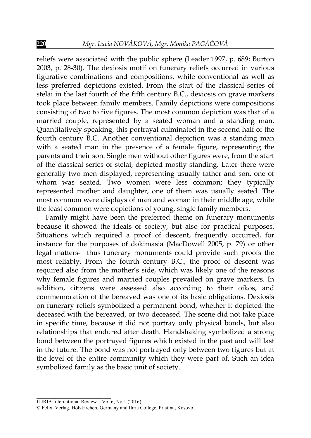reliefs were associated with the public sphere (Leader 1997, p. 689; Burton 2003, p. 28-30). The dexiosis motif on funerary reliefs occurred in various figurative combinations and compositions, while conventional as well as less preferred depictions existed. From the start of the classical series of stelai in the last fourth of the fifth century B.C., dexiosis on grave markers took place between family members. Family depictions were compositions consisting of two to five figures. The most common depiction was that of a married couple, represented by a seated woman and a standing man. Quantitatively speaking, this portrayal culminated in the second half of the fourth century B.C. Another conventional depiction was a standing man with a seated man in the presence of a female figure, representing the parents and their son. Single men without other figures were, from the start of the classical series of stelai, depicted mostly standing. Later there were generally two men displayed, representing usually father and son, one of whom was seated. Two women were less common; they typically represented mother and daughter, one of them was usually seated. The most common were displays of man and woman in their middle age, while the least common were depictions of young, single family members.

Family might have been the preferred theme on funerary monuments because it showed the ideals of society, but also for practical purposes. Situations which required a proof of descent, frequently occurred, for instance for the purposes of dokimasia (MacDowell 2005, p. 79) or other legal matters- thus funerary monuments could provide such proofs the most reliably. From the fourth century B.C., the proof of descent was required also from the mother's side, which was likely one of the reasons why female figures and married couples prevailed on grave markers. In addition, citizens were assessed also according to their oikos, and commemoration of the bereaved was one of its basic obligations. Dexiosis on funerary reliefs symbolized a permanent bond, whether it depicted the deceased with the bereaved, or two deceased. The scene did not take place in specific time, because it did not portray only physical bonds, but also relationships that endured after death. Handshaking symbolized a strong bond between the portrayed figures which existed in the past and will last in the future. The bond was not portrayed only between two figures but at the level of the entire community which they were part of. Such an idea symbolized family as the basic unit of society.

<sup>©</sup> Felix–Verlag, Holzkirchen, Germany and Iliria College, Pristina, Kosovo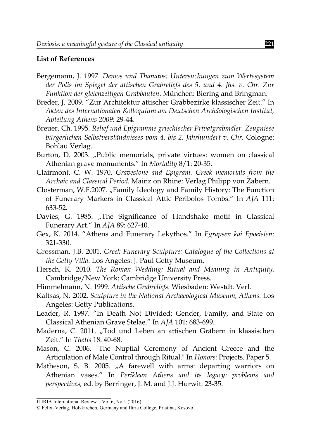### **List of References**

- Bergemann, J. 1997. *Demos und Thanatos: Untersuchungen zum Wertesystem der Polis im Spiegel der attischen Grabreliefs des 5. und 4. Jhs. v. Chr. Zur Funktion der gleichzeitigen Grabbauten*. München: Biering and Bringman.
- Breder, J. 2009. "Zur Architektur attischer Grabbezirke klassischer Zeit." In *Akten des Internationalen Kolloquium am Deutschen Archäologischen Institut, Abteilung Athens 2009*: 29-44.
- Breuer, Ch. 1995. *Relief und Epigramme griechischer Privatgrabmäler. Zeugnisse bürgerlichen Selbstverständnisses vom 4. bis 2. Jahrhundert v. Chr.* Cologne: Bohlau Verlag.
- Burton, D. 2003. "Public memorials, private virtues: women on classical Athenian grave monuments." In *Mortality* 8/1: 20-35.
- Clairmont, C. W. 1970. *Gravestone and Epigram. Greek memorials from the Archaic and Classical Period.* Mainz on Rhine: Verlag Philipp von Zabern.
- Closterman, W.F.2007. "Family Ideology and Family History: The Function of Funerary Markers in Classical Attic Peribolos Tombs." In *AJA* 111: 633-52.
- Davies, G. 1985. "The Significance of Handshake motif in Classical Funerary Art." In *AJA* 89: 627-40.
- Gex, K. 2014. "Athens and Funerary Lekythos." In *Egrapsen kai Epoeisien*: 321-330.
- Grossman, J.B. 2001. *Greek Funerary Sculpture: Catalogue of the Collections at the Getty Villa*. Los Angeles: J. Paul Getty Museum.
- Hersch, K. 2010. *The Roman Wedding: Ritual and Meaning in Antiquity.*  Cambridge/New York: Cambridge University Press.
- Himmelmann, N. 1999. *Attische Grabreliefs*. Wiesbaden: Westdt. Verl.
- Kaltsas, N. 2002*. Sculpture in the National Archaeological Museum, Athens.* Los Angeles: Getty Publications.
- Leader, R. 1997. "In Death Not Divided: Gender, Family, and State on Classical Athenian Grave Stelae." In *AJA* 101: 683-699.
- Maderna, C. 2011. "Tod und Leben an attischen Gräbern in klassischen Zeit." In *Thetis* 18: 40-68.
- Mason, C. 2006. "The Nuptial Ceremony of Ancient Greece and the Articulation of Male Control through Ritual." In *Honors*: Projects. Paper 5.
- Matheson, S. B. 2005. "A farewell with arms: departing warriors on Athenian vases." In *Periklean Athens and its legacy: problems and perspectives,* ed. by Berringer, J. M. and J.J. Hurwit: 23-35.

ILIRIA International Review – Vol 6, No 1 (2016)

<sup>©</sup> Felix–Verlag, Holzkirchen, Germany and Iliria College, Pristina, Kosovo